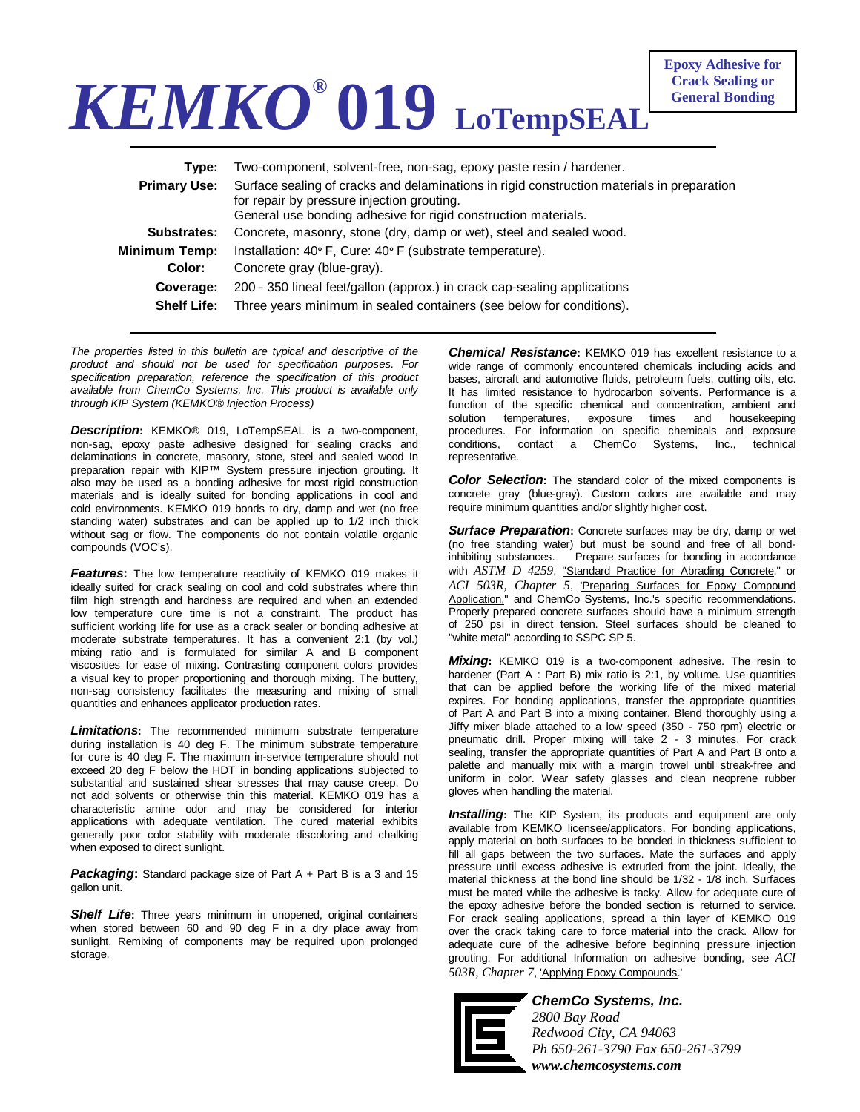## *KEMKO®* **019 LoTempSEAL**

| Tvpe:               | Two-component, solvent-free, non-sag, epoxy paste resin / hardener.                                                                                                                                        |
|---------------------|------------------------------------------------------------------------------------------------------------------------------------------------------------------------------------------------------------|
| <b>Primary Use:</b> | Surface sealing of cracks and delaminations in rigid construction materials in preparation<br>for repair by pressure injection grouting.<br>General use bonding adhesive for rigid construction materials. |
| Substrates:         | Concrete, masonry, stone (dry, damp or wet), steel and sealed wood.                                                                                                                                        |
| Minimum Temp:       | Installation: 40° F, Cure: 40° F (substrate temperature).                                                                                                                                                  |
| Color:              | Concrete gray (blue-gray).                                                                                                                                                                                 |
| Coverage:           | 200 - 350 lineal feet/gallon (approx.) in crack cap-sealing applications                                                                                                                                   |
| <b>Shelf Life:</b>  | Three years minimum in sealed containers (see below for conditions).                                                                                                                                       |

*The properties listed in this bulletin are typical and descriptive of the product and should not be used for specification purposes. For specification preparation, reference the specification of this product available from ChemCo Systems, Inc. This product is available only through KIP System (KEMKO® Injection Process)* 

*Description***:** KEMKO® 019, LoTempSEAL is a two-component, non-sag, epoxy paste adhesive designed for sealing cracks and delaminations in concrete, masonry, stone, steel and sealed wood In preparation repair with KIP™ System pressure injection grouting. It also may be used as a bonding adhesive for most rigid construction materials and is ideally suited for bonding applications in cool and cold environments. KEMKO 019 bonds to dry, damp and wet (no free standing water) substrates and can be applied up to 1/2 inch thick without sag or flow. The components do not contain volatile organic compounds (VOC's).

*Features***:** The low temperature reactivity of KEMKO 019 makes it ideally suited for crack sealing on cool and cold substrates where thin film high strength and hardness are required and when an extended low temperature cure time is not a constraint. The product has sufficient working life for use as a crack sealer or bonding adhesive at moderate substrate temperatures. It has a convenient 2:1 (by vol.) mixing ratio and is formulated for similar A and B component viscosities for ease of mixing. Contrasting component colors provides a visual key to proper proportioning and thorough mixing. The buttery, non-sag consistency facilitates the measuring and mixing of small quantities and enhances applicator production rates.

*Limitations***:** The recommended minimum substrate temperature during installation is 40 deg F. The minimum substrate temperature for cure is 40 deg F. The maximum in-service temperature should not exceed 20 deg F below the HDT in bonding applications subjected to substantial and sustained shear stresses that may cause creep. Do not add solvents or otherwise thin this material. KEMKO 019 has a characteristic amine odor and may be considered for interior applications with adequate ventilation. The cured material exhibits generally poor color stability with moderate discoloring and chalking when exposed to direct sunlight.

*Packaging***:** Standard package size of Part A + Part B is a 3 and 15 gallon unit.

*Shelf Life***:** Three years minimum in unopened, original containers when stored between 60 and 90 deg F in a dry place away from sunlight. Remixing of components may be required upon prolonged storage.

**Chemical Resistance:** KEMKO 019 has excellent resistance to a wide range of commonly encountered chemicals including acids and bases, aircraft and automotive fluids, petroleum fuels, cutting oils, etc. It has limited resistance to hydrocarbon solvents. Performance is a function of the specific chemical and concentration, ambient and solution temperatures, exposure times and housekeeping procedures. For information on specific chemicals and exposure conditions, contact a ChemCo Systems, Inc., technical representative.

**Color Selection:** The standard color of the mixed components is concrete gray (blue-gray). Custom colors are available and may require minimum quantities and/or slightly higher cost.

*Surface Preparation***:** Concrete surfaces may be dry, damp or wet (no free standing water) but must be sound and free of all bondinhibiting substances. Prepare surfaces for bonding in accordance with *ASTM D 4259*, "Standard Practice for Abrading Concrete," or *ACI 503R, Chapter 5*, 'Preparing Surfaces for Epoxy Compound Application," and ChemCo Systems, Inc.'s specific recommendations. Properly prepared concrete surfaces should have a minimum strength of 250 psi in direct tension. Steel surfaces should be cleaned to "white metal" according to SSPC SP 5.

*Mixing***:** KEMKO 019 is a two-component adhesive. The resin to hardener (Part A : Part B) mix ratio is 2:1, by volume. Use quantities that can be applied before the working life of the mixed material expires. For bonding applications, transfer the appropriate quantities of Part A and Part B into a mixing container. Blend thoroughly using a Jiffy mixer blade attached to a low speed (350 - 750 rpm) electric or pneumatic drill. Proper mixing will take 2 - 3 minutes. For crack sealing, transfer the appropriate quantities of Part A and Part B onto a palette and manually mix with a margin trowel until streak-free and uniform in color. Wear safety glasses and clean neoprene rubber gloves when handling the material.

**Installing:** The KIP System, its products and equipment are only available from KEMKO licensee/applicators. For bonding applications, apply material on both surfaces to be bonded in thickness sufficient to fill all gaps between the two surfaces. Mate the surfaces and apply pressure until excess adhesive is extruded from the joint. Ideally, the material thickness at the bond line should be 1/32 - 1/8 inch. Surfaces must be mated while the adhesive is tacky. Allow for adequate cure of the epoxy adhesive before the bonded section is returned to service. For crack sealing applications, spread a thin layer of KEMKO 019 over the crack taking care to force material into the crack. Allow for adequate cure of the adhesive before beginning pressure injection grouting. For additional Information on adhesive bonding, see *ACI 503R, Chapter 7*, 'Applying Epoxy Compounds.'



*ChemCo Systems, Inc. 2800 Bay Road* 

*Redwood City, CA 94063 Ph 650-261-3790 Fax 650-261-3799 www.chemcosystems.com*